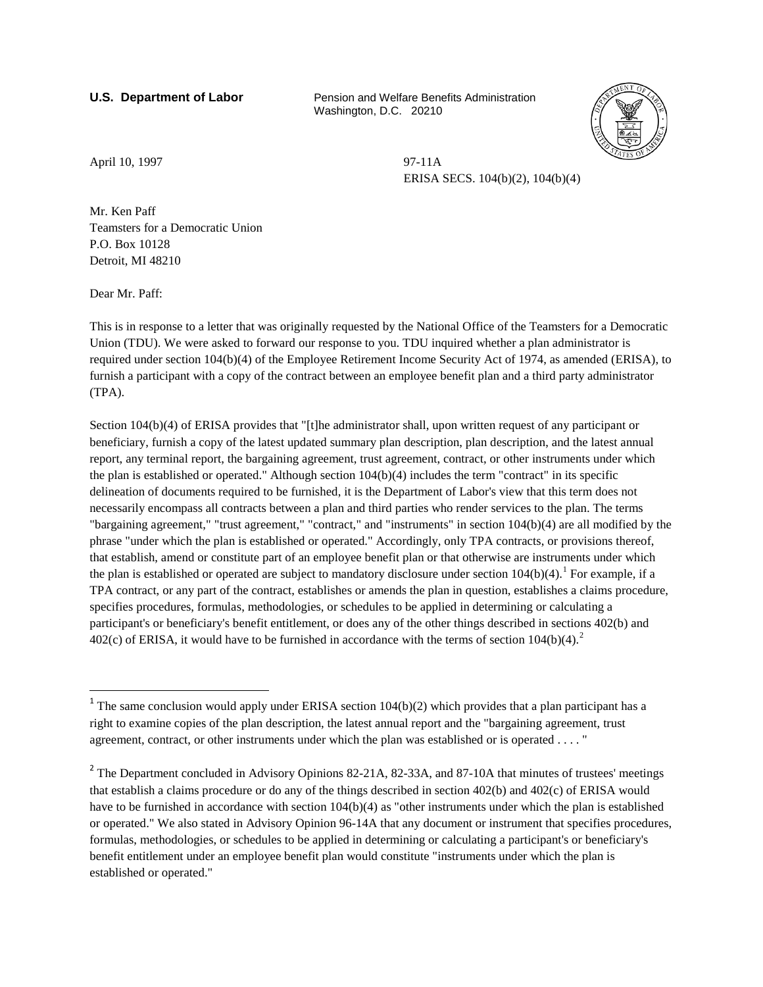**U.S. Department of Labor Pension and Welfare Benefits Administration** Washington, D.C. 20210



April 10, 1997 97-11A

ERISA SECS. 104(b)(2), 104(b)(4)

Mr. Ken Paff Teamsters for a Democratic Union P.O. Box 10128 Detroit, MI 48210

Dear Mr. Paff:

 $\overline{\phantom{a}}$ 

This is in response to a letter that was originally requested by the National Office of the Teamsters for a Democratic Union (TDU). We were asked to forward our response to you. TDU inquired whether a plan administrator is required under section 104(b)(4) of the Employee Retirement Income Security Act of 1974, as amended (ERISA), to furnish a participant with a copy of the contract between an employee benefit plan and a third party administrator (TPA).

Section 104(b)(4) of ERISA provides that "[t]he administrator shall, upon written request of any participant or beneficiary, furnish a copy of the latest updated summary plan description, plan description, and the latest annual report, any terminal report, the bargaining agreement, trust agreement, contract, or other instruments under which the plan is established or operated." Although section 104(b)(4) includes the term "contract" in its specific delineation of documents required to be furnished, it is the Department of Labor's view that this term does not necessarily encompass all contracts between a plan and third parties who render services to the plan. The terms "bargaining agreement," "trust agreement," "contract," and "instruments" in section 104(b)(4) are all modified by the phrase "under which the plan is established or operated." Accordingly, only TPA contracts, or provisions thereof, that establish, amend or constitute part of an employee benefit plan or that otherwise are instruments under which the plan is established or operated are subject to mandatory disclosure under section  $104(b)(4)$  $104(b)(4)$ .<sup>1</sup> For example, if a TPA contract, or any part of the contract, establishes or amends the plan in question, establishes a claims procedure, specifies procedures, formulas, methodologies, or schedules to be applied in determining or calculating a participant's or beneficiary's benefit entitlement, or does any of the other things described in sections 402(b) and 40[2](#page-0-1)(c) of ERISA, it would have to be furnished in accordance with the terms of section  $104(b)(4)$ .<sup>2</sup>

<span id="page-0-0"></span><sup>&</sup>lt;sup>1</sup> The same conclusion would apply under ERISA section  $104(b)(2)$  which provides that a plan participant has a right to examine copies of the plan description, the latest annual report and the "bargaining agreement, trust agreement, contract, or other instruments under which the plan was established or is operated . . . . "

<span id="page-0-1"></span><sup>&</sup>lt;sup>2</sup> The Department concluded in Advisory Opinions 82-21A, 82-33A, and 87-10A that minutes of trustees' meetings that establish a claims procedure or do any of the things described in section 402(b) and 402(c) of ERISA would have to be furnished in accordance with section 104(b)(4) as "other instruments under which the plan is established or operated." We also stated in Advisory Opinion 96-14A that any document or instrument that specifies procedures, formulas, methodologies, or schedules to be applied in determining or calculating a participant's or beneficiary's benefit entitlement under an employee benefit plan would constitute "instruments under which the plan is established or operated."